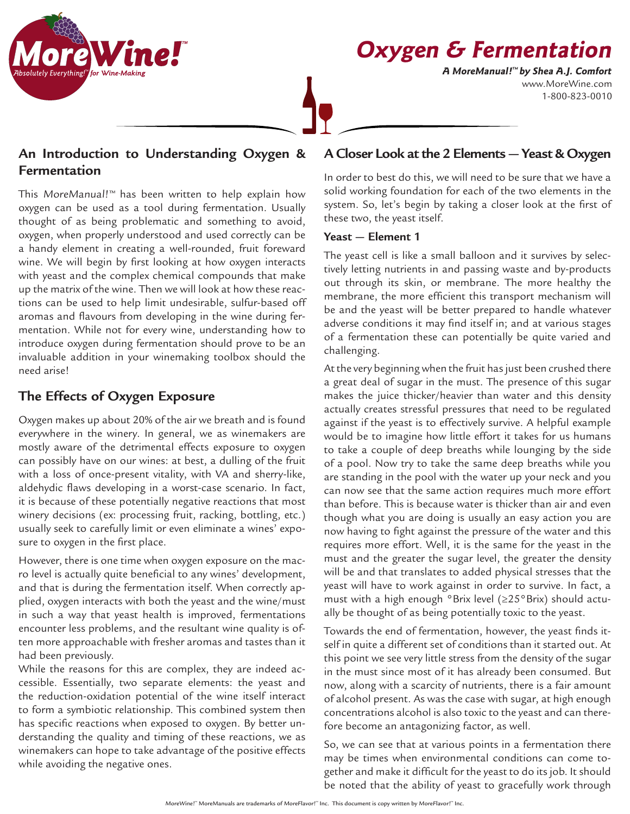

# **Oxygen & Fermentation**

www.MoreWine.com 1-800-823-0010 **A MoreManual! ™ by Shea A.J. Comfort**

# **An Introduction to Understanding Oxygen & Fermentation**

This MoreManual!™ has been written to help explain how oxygen can be used as a tool during fermentation. Usually thought of as being problematic and something to avoid, oxygen, when properly understood and used correctly can be a handy element in creating a well-rounded, fruit foreward wine. We will begin by first looking at how oxygen interacts with yeast and the complex chemical compounds that make up the matrix of the wine. Then we will look at how these reactions can be used to help limit undesirable, sulfur-based off aromas and flavours from developing in the wine during fermentation. While not for every wine, understanding how to introduce oxygen during fermentation should prove to be an invaluable addition in your winemaking toolbox should the need arise!

## **The Effects of Oxygen Exposure**

Oxygen makes up about 20% of the air we breath and is found everywhere in the winery. In general, we as winemakers are mostly aware of the detrimental effects exposure to oxygen can possibly have on our wines: at best, a dulling of the fruit with a loss of once-present vitality, with VA and sherry-like, aldehydic flaws developing in a worst-case scenario. In fact, it is because of these potentially negative reactions that most winery decisions (ex: processing fruit, racking, bottling, etc.) usually seek to carefully limit or even eliminate a wines' exposure to oxygen in the first place.

However, there is one time when oxygen exposure on the macro level is actually quite beneficial to any wines' development, and that is during the fermentation itself. When correctly applied, oxygen interacts with both the yeast and the wine/must in such a way that yeast health is improved, fermentations encounter less problems, and the resultant wine quality is often more approachable with fresher aromas and tastes than it had been previously.

While the reasons for this are complex, they are indeed accessible. Essentially, two separate elements: the yeast and the reduction-oxidation potential of the wine itself interact to form a symbiotic relationship. This combined system then has specific reactions when exposed to oxygen. By better understanding the quality and timing of these reactions, we as winemakers can hope to take advantage of the positive effects while avoiding the negative ones.

# **A Closer Look at the 2 Elements — Yeast & Oxygen**

In order to best do this, we will need to be sure that we have a solid working foundation for each of the two elements in the system. So, let's begin by taking a closer look at the first of these two, the yeast itself.

#### **Yeast — Element 1**

The yeast cell is like a small balloon and it survives by selectively letting nutrients in and passing waste and by-products out through its skin, or membrane. The more healthy the membrane, the more efficient this transport mechanism will be and the yeast will be better prepared to handle whatever adverse conditions it may find itself in; and at various stages of a fermentation these can potentially be quite varied and challenging.

At the very beginning when the fruit has just been crushed there a great deal of sugar in the must. The presence of this sugar makes the juice thicker/heavier than water and this density actually creates stressful pressures that need to be regulated against if the yeast is to effectively survive. A helpful example would be to imagine how little effort it takes for us humans to take a couple of deep breaths while lounging by the side of a pool. Now try to take the same deep breaths while you are standing in the pool with the water up your neck and you can now see that the same action requires much more effort than before. This is because water is thicker than air and even though what you are doing is usually an easy action you are now having to fight against the pressure of the water and this requires more effort. Well, it is the same for the yeast in the must and the greater the sugar level, the greater the density will be and that translates to added physical stresses that the yeast will have to work against in order to survive. In fact, a must with a high enough °Brix level (≥25°Brix) should actually be thought of as being potentially toxic to the yeast.

Towards the end of fermentation, however, the yeast finds itself in quite a different set of conditions than it started out. At this point we see very little stress from the density of the sugar in the must since most of it has already been consumed. But now, along with a scarcity of nutrients, there is a fair amount of alcohol present. As was the case with sugar, at high enough concentrations alcohol is also toxic to the yeast and can therefore become an antagonizing factor, as well.

So, we can see that at various points in a fermentation there may be times when environmental conditions can come together and make it difficult for the yeast to do its job. It should be noted that the ability of yeast to gracefully work through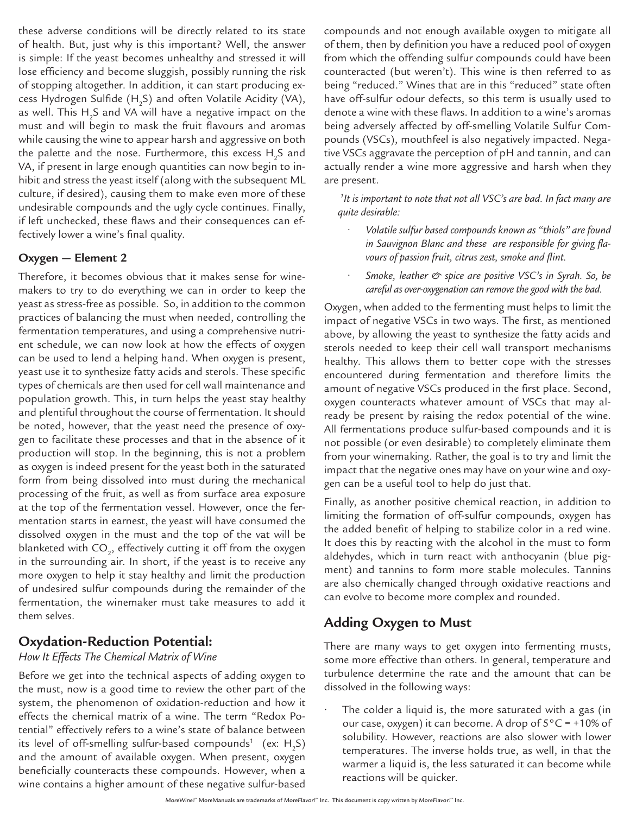these adverse conditions will be directly related to its state of health. But, just why is this important? Well, the answer is simple: If the yeast becomes unhealthy and stressed it will lose efficiency and become sluggish, possibly running the risk of stopping altogether. In addition, it can start producing excess Hydrogen Sulfide (H $_2$ S) and often Volatile Acidity (VA), as well. This  $\rm H_2$ S and VA will have a negative impact on the must and will begin to mask the fruit flavours and aromas while causing the wine to appear harsh and aggressive on both the palette and the nose. Furthermore, this excess  ${\sf H_2S}$  and VA, if present in large enough quantities can now begin to inhibit and stress the yeast itself (along with the subsequent ML culture, if desired), causing them to make even more of these undesirable compounds and the ugly cycle continues. Finally, if left unchecked, these flaws and their consequences can effectively lower a wine's final quality.

#### **Oxygen — Element 2**

Therefore, it becomes obvious that it makes sense for winemakers to try to do everything we can in order to keep the yeast as stress-free as possible. So, in addition to the common practices of balancing the must when needed, controlling the fermentation temperatures, and using a comprehensive nutrient schedule, we can now look at how the effects of oxygen can be used to lend a helping hand. When oxygen is present, yeast use it to synthesize fatty acids and sterols. These specific types of chemicals are then used for cell wall maintenance and population growth. This, in turn helps the yeast stay healthy and plentiful throughout the course of fermentation. It should be noted, however, that the yeast need the presence of oxygen to facilitate these processes and that in the absence of it production will stop. In the beginning, this is not a problem as oxygen is indeed present for the yeast both in the saturated form from being dissolved into must during the mechanical processing of the fruit, as well as from surface area exposure at the top of the fermentation vessel. However, once the fermentation starts in earnest, the yeast will have consumed the dissolved oxygen in the must and the top of the vat will be blanketed with CO $_{_2}$ , effectively cutting it off from the oxygen in the surrounding air. In short, if the yeast is to receive any more oxygen to help it stay healthy and limit the production of undesired sulfur compounds during the remainder of the fermentation, the winemaker must take measures to add it them selves.

#### **Oxydation-Reduction Potential:**

#### *How It Effects The Chemical Matrix of Wine*

Before we get into the technical aspects of adding oxygen to the must, now is a good time to review the other part of the system, the phenomenon of oxidation-reduction and how it effects the chemical matrix of a wine. The term "Redox Potential" effectively refers to a wine's state of balance between its level of off-smelling sulfur-based compounds $^1$  (ex: H<sub>2</sub>S) and the amount of available oxygen. When present, oxygen beneficially counteracts these compounds. However, when a wine contains a higher amount of these negative sulfur-based

compounds and not enough available oxygen to mitigate all of them, then by definition you have a reduced pool of oxygen from which the offending sulfur compounds could have been counteracted (but weren't). This wine is then referred to as being "reduced." Wines that are in this "reduced" state often have off-sulfur odour defects, so this term is usually used to denote a wine with these flaws. In addition to a wine's aromas being adversely affected by off-smelling Volatile Sulfur Compounds (VSCs), mouthfeel is also negatively impacted. Negative VSCs aggravate the perception of pH and tannin, and can actually render a wine more aggressive and harsh when they are present.

*1 It is important to note that not all VSC's are bad. In fact many are quite desirable:*

- *• Volatile sulfur based compounds known as "thiols" are found in Sauvignon Blanc and these are responsible for giving flavours of passion fruit, citrus zest, smoke and flint.*
- *• Smoke, leather & spice are positive VSC's in Syrah. So, be careful as over-oxygenation can remove the good with the bad.*

Oxygen, when added to the fermenting must helps to limit the impact of negative VSCs in two ways. The first, as mentioned above, by allowing the yeast to synthesize the fatty acids and sterols needed to keep their cell wall transport mechanisms healthy. This allows them to better cope with the stresses encountered during fermentation and therefore limits the amount of negative VSCs produced in the first place. Second, oxygen counteracts whatever amount of VSCs that may already be present by raising the redox potential of the wine. All fermentations produce sulfur-based compounds and it is not possible (or even desirable) to completely eliminate them from your winemaking. Rather, the goal is to try and limit the impact that the negative ones may have on your wine and oxygen can be a useful tool to help do just that.

Finally, as another positive chemical reaction, in addition to limiting the formation of off-sulfur compounds, oxygen has the added benefit of helping to stabilize color in a red wine. It does this by reacting with the alcohol in the must to form aldehydes, which in turn react with anthocyanin (blue pigment) and tannins to form more stable molecules. Tannins are also chemically changed through oxidative reactions and can evolve to become more complex and rounded.

## **Adding Oxygen to Must**

There are many ways to get oxygen into fermenting musts, some more effective than others. In general, temperature and turbulence determine the rate and the amount that can be dissolved in the following ways:

The colder a liquid is, the more saturated with a gas (in our case, oxygen) it can become. A drop of 5°C = +10% of solubility. However, reactions are also slower with lower temperatures. The inverse holds true, as well, in that the warmer a liquid is, the less saturated it can become while reactions will be quicker.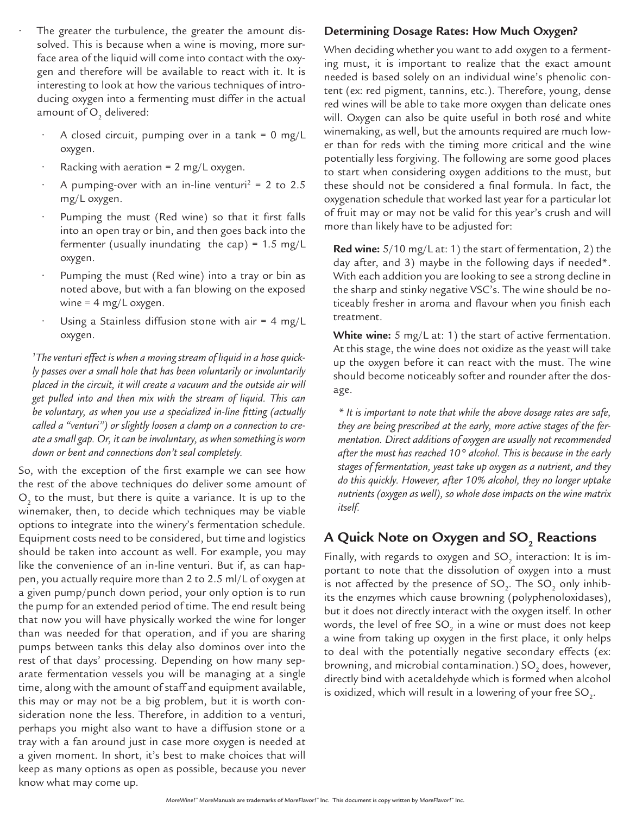- The greater the turbulence, the greater the amount dissolved. This is because when a wine is moving, more surface area of the liquid will come into contact with the oxygen and therefore will be available to react with it. It is interesting to look at how the various techniques of introducing oxygen into a fermenting must differ in the actual amount of  $\mathrm{O}_\mathrm{2}$  delivered:
	- A closed circuit, pumping over in a tank =  $0$  mg/L oxygen.
	- Racking with aeration =  $2 \text{ mg/L oxygen}$ .
	- A pumping-over with an in-line venturi<sup>2</sup> = 2 to 2.5 mg/L oxygen.
	- Pumping the must (Red wine) so that it first falls into an open tray or bin, and then goes back into the fermenter (usually inundating the cap) =  $1.5 \text{ mg/L}$ oxygen.
	- Pumping the must (Red wine) into a tray or bin as noted above, but with a fan blowing on the exposed wine =  $4 \text{ mg/L oxygen}$ .
	- Using a Stainless diffusion stone with air =  $4 \text{ mg/L}$ oxygen.

*1 The venturi effect is when a moving stream of liquid in a hose quickly passes over a small hole that has been voluntarily or involuntarily placed in the circuit, it will create a vacuum and the outside air will get pulled into and then mix with the stream of liquid. This can be voluntary, as when you use a specialized in-line fitting (actually called a "venturi") or slightly loosen a clamp on a connection to create a small gap. Or, it can be involuntary, as when something is worn down or bent and connections don't seal completely.*

So, with the exception of the first example we can see how the rest of the above techniques do deliver some amount of  $O_2$  to the must, but there is quite a variance. It is up to the winemaker, then, to decide which techniques may be viable options to integrate into the winery's fermentation schedule. Equipment costs need to be considered, but time and logistics should be taken into account as well. For example, you may like the convenience of an in-line venturi. But if, as can happen, you actually require more than 2 to 2.5 ml/L of oxygen at a given pump/punch down period, your only option is to run the pump for an extended period of time. The end result being that now you will have physically worked the wine for longer than was needed for that operation, and if you are sharing pumps between tanks this delay also dominos over into the rest of that days' processing. Depending on how many separate fermentation vessels you will be managing at a single time, along with the amount of staff and equipment available, this may or may not be a big problem, but it is worth consideration none the less. Therefore, in addition to a venturi, perhaps you might also want to have a diffusion stone or a tray with a fan around just in case more oxygen is needed at a given moment. In short, it's best to make choices that will keep as many options as open as possible, because you never know what may come up.

#### **Determining Dosage Rates: How Much Oxygen?**

When deciding whether you want to add oxygen to a fermenting must, it is important to realize that the exact amount needed is based solely on an individual wine's phenolic content (ex: red pigment, tannins, etc.). Therefore, young, dense red wines will be able to take more oxygen than delicate ones will. Oxygen can also be quite useful in both rosé and white winemaking, as well, but the amounts required are much lower than for reds with the timing more critical and the wine potentially less forgiving. The following are some good places to start when considering oxygen additions to the must, but these should not be considered a final formula. In fact, the oxygenation schedule that worked last year for a particular lot of fruit may or may not be valid for this year's crush and will more than likely have to be adjusted for:

**Red wine:** 5/10 mg/L at: 1) the start of fermentation, 2) the day after, and 3) maybe in the following days if needed\*. With each addition you are looking to see a strong decline in the sharp and stinky negative VSC's. The wine should be noticeably fresher in aroma and flavour when you finish each treatment.

**White wine:** 5 mg/L at: 1) the start of active fermentation. At this stage, the wine does not oxidize as the yeast will take up the oxygen before it can react with the must. The wine should become noticeably softer and rounder after the dosage.

*\* It is important to note that while the above dosage rates are safe, they are being prescribed at the early, more active stages of the fermentation. Direct additions of oxygen are usually not recommended after the must has reached 10° alcohol. This is because in the early stages of fermentation, yeast take up oxygen as a nutrient, and they do this quickly. However, after 10% alcohol, they no longer uptake nutrients (oxygen as well), so whole dose impacts on the wine matrix itself.* 

# A Quick Note on Oxygen and SO<sub>2</sub> Reactions

Finally, with regards to oxygen and SO $_2^{\,}$  interaction: It is important to note that the dissolution of oxygen into a must is not affected by the presence of SO<sub>2</sub>. The SO<sub>2</sub> only inhibits the enzymes which cause browning (polyphenoloxidases), but it does not directly interact with the oxygen itself. In other words, the level of free SO $_2$  in a wine or must does not keep a wine from taking up oxygen in the first place, it only helps to deal with the potentially negative secondary effects (ex: browning, and microbial contamination.) SO $_{\textrm{\tiny{2}}}$  does, however, directly bind with acetaldehyde which is formed when alcohol is oxidized, which will result in a lowering of your free SO $_{_2}$ .